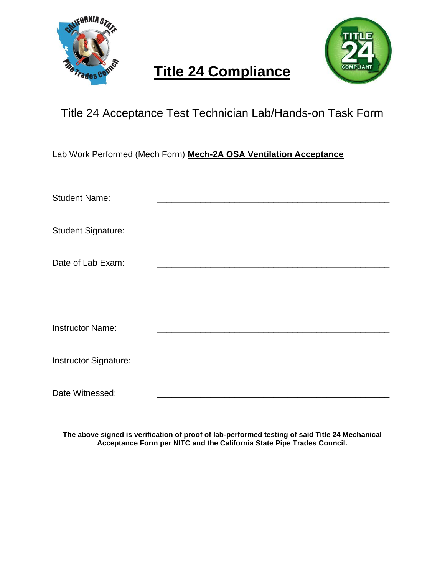



#### Title 24 Acceptance Test Technician Lab/Hands-on Task Form

Lab Work Performed (Mech Form) **Mech-2A OSA Ventilation Acceptance**

| <b>Student Name:</b>      |  |
|---------------------------|--|
| <b>Student Signature:</b> |  |
| Date of Lab Exam:         |  |
|                           |  |
| <b>Instructor Name:</b>   |  |
| Instructor Signature:     |  |
| Date Witnessed:           |  |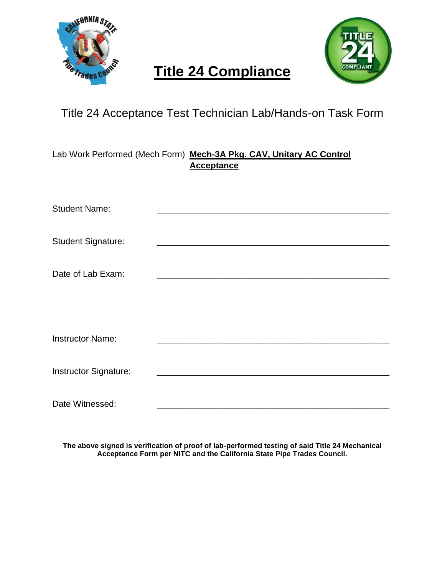



### Title 24 Acceptance Test Technician Lab/Hands-on Task Form

Lab Work Performed (Mech Form) **Mech-3A Pkg. CAV, Unitary AC Control Acceptance**

| <b>Student Name:</b>      |  |
|---------------------------|--|
|                           |  |
| <b>Student Signature:</b> |  |
|                           |  |
| Date of Lab Exam:         |  |
|                           |  |
|                           |  |
|                           |  |
| <b>Instructor Name:</b>   |  |
|                           |  |
| Instructor Signature:     |  |
|                           |  |
| Date Witnessed:           |  |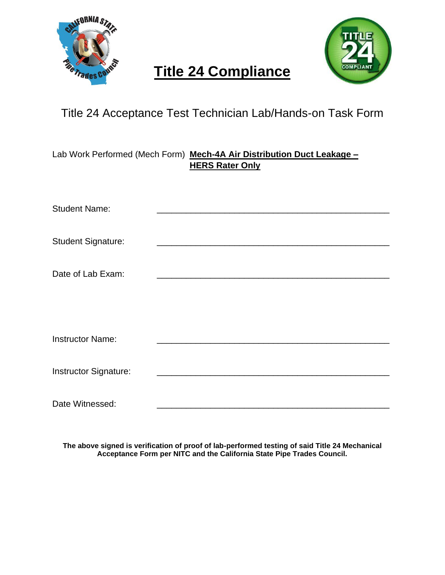



### Title 24 Acceptance Test Technician Lab/Hands-on Task Form

Lab Work Performed (Mech Form) **Mech-4A Air Distribution Duct Leakage – HERS Rater Only**

| <b>Student Name:</b>      |  |
|---------------------------|--|
|                           |  |
| <b>Student Signature:</b> |  |
|                           |  |
| Date of Lab Exam:         |  |
|                           |  |
|                           |  |
|                           |  |
| <b>Instructor Name:</b>   |  |
|                           |  |
| Instructor Signature:     |  |
|                           |  |
| Date Witnessed:           |  |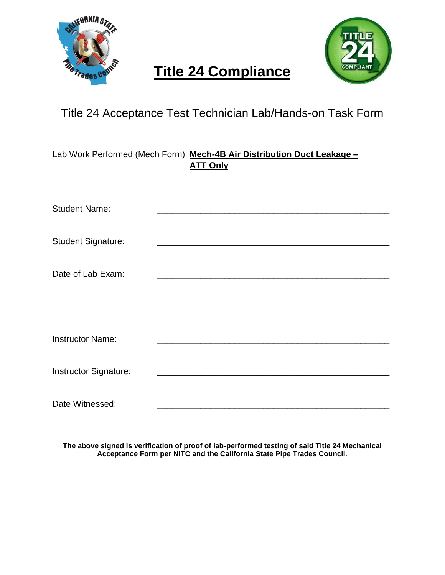



### Title 24 Acceptance Test Technician Lab/Hands-on Task Form

Lab Work Performed (Mech Form) **Mech-4B Air Distribution Duct Leakage – ATT Only**

| <b>Student Name:</b>      |                                                                                                                                                                                                                                      |
|---------------------------|--------------------------------------------------------------------------------------------------------------------------------------------------------------------------------------------------------------------------------------|
|                           |                                                                                                                                                                                                                                      |
| <b>Student Signature:</b> | <u>and the state of the state of the state of the state of the state of the state of the state of the state of the state of the state of the state of the state of the state of the state of the state of the state of the state</u> |
|                           |                                                                                                                                                                                                                                      |
| Date of Lab Exam:         |                                                                                                                                                                                                                                      |
|                           |                                                                                                                                                                                                                                      |
|                           |                                                                                                                                                                                                                                      |
|                           |                                                                                                                                                                                                                                      |
| <b>Instructor Name:</b>   |                                                                                                                                                                                                                                      |
|                           |                                                                                                                                                                                                                                      |
| Instructor Signature:     |                                                                                                                                                                                                                                      |
|                           |                                                                                                                                                                                                                                      |
| Date Witnessed:           |                                                                                                                                                                                                                                      |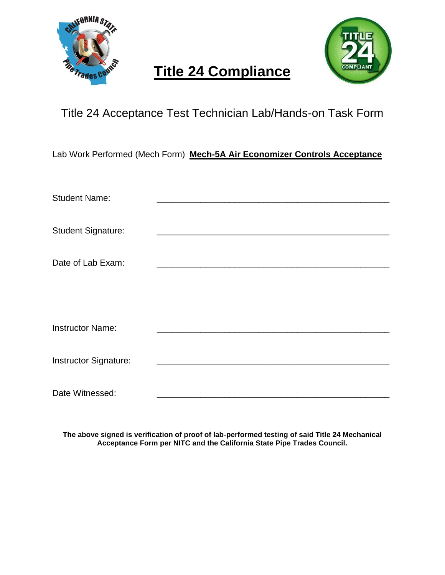



#### Title 24 Acceptance Test Technician Lab/Hands-on Task Form

Lab Work Performed (Mech Form) **Mech-5A Air Economizer Controls Acceptance**

| <b>Student Name:</b>      |  |
|---------------------------|--|
| <b>Student Signature:</b> |  |
| Date of Lab Exam:         |  |
|                           |  |
| <b>Instructor Name:</b>   |  |
| Instructor Signature:     |  |
| Date Witnessed:           |  |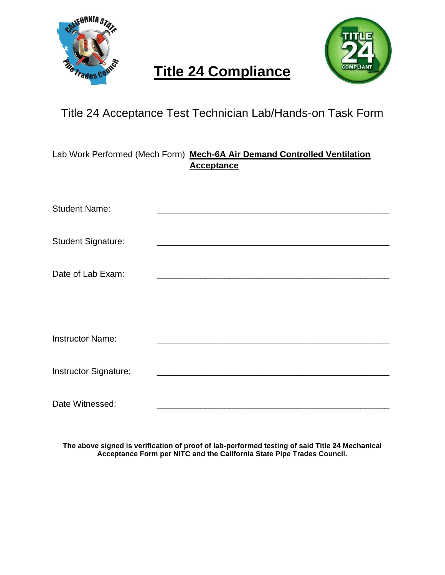



#### Title 24 Acceptance Test Technician Lab/Hands-on Task Form

Lab Work Performed (Mech Form) **Mech-6A Air Demand Controlled Ventilation Acceptance**

| <b>Student Name:</b>      |  |
|---------------------------|--|
|                           |  |
| <b>Student Signature:</b> |  |
|                           |  |
| Date of Lab Exam:         |  |
|                           |  |
|                           |  |
|                           |  |
| <b>Instructor Name:</b>   |  |
|                           |  |
| Instructor Signature:     |  |
|                           |  |
| Date Witnessed:           |  |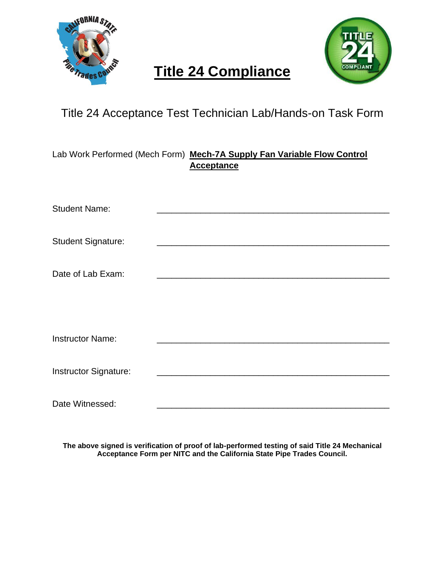



#### Title 24 Acceptance Test Technician Lab/Hands-on Task Form

Lab Work Performed (Mech Form) **Mech-7A Supply Fan Variable Flow Control Acceptance**

| <b>Student Name:</b>      |  |
|---------------------------|--|
|                           |  |
| <b>Student Signature:</b> |  |
|                           |  |
| Date of Lab Exam:         |  |
|                           |  |
|                           |  |
|                           |  |
| <b>Instructor Name:</b>   |  |
|                           |  |
| Instructor Signature:     |  |
|                           |  |
| Date Witnessed:           |  |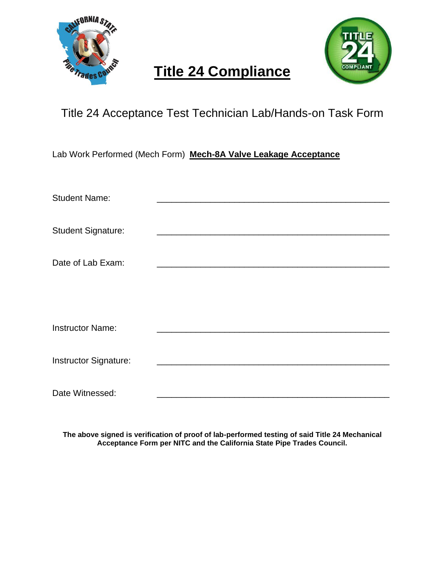



#### Title 24 Acceptance Test Technician Lab/Hands-on Task Form

Lab Work Performed (Mech Form) **Mech-8A Valve Leakage Acceptance**

| <b>Student Name:</b>      |  |
|---------------------------|--|
|                           |  |
| <b>Student Signature:</b> |  |
| Date of Lab Exam:         |  |
|                           |  |
|                           |  |
| <b>Instructor Name:</b>   |  |
|                           |  |
| Instructor Signature:     |  |
|                           |  |
| Date Witnessed:           |  |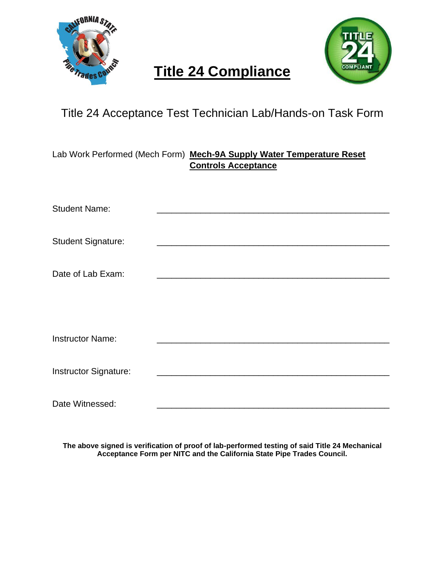



### Title 24 Acceptance Test Technician Lab/Hands-on Task Form

Lab Work Performed (Mech Form) **Mech-9A Supply Water Temperature Reset Controls Acceptance**

| <b>Student Name:</b>      |  |
|---------------------------|--|
|                           |  |
| <b>Student Signature:</b> |  |
|                           |  |
| Date of Lab Exam:         |  |
|                           |  |
|                           |  |
|                           |  |
| <b>Instructor Name:</b>   |  |
|                           |  |
| Instructor Signature:     |  |
|                           |  |
| Date Witnessed:           |  |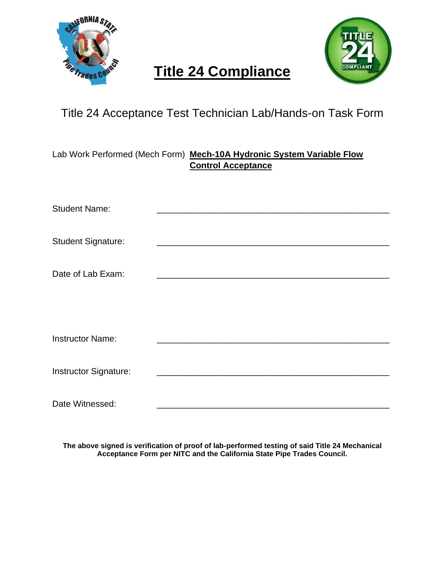



#### Title 24 Acceptance Test Technician Lab/Hands-on Task Form

Lab Work Performed (Mech Form) **Mech-10A Hydronic System Variable Flow Control Acceptance**

| <b>Student Name:</b>      |  |
|---------------------------|--|
|                           |  |
| <b>Student Signature:</b> |  |
|                           |  |
| Date of Lab Exam:         |  |
|                           |  |
|                           |  |
|                           |  |
| <b>Instructor Name:</b>   |  |
|                           |  |
| Instructor Signature:     |  |
|                           |  |
| Date Witnessed:           |  |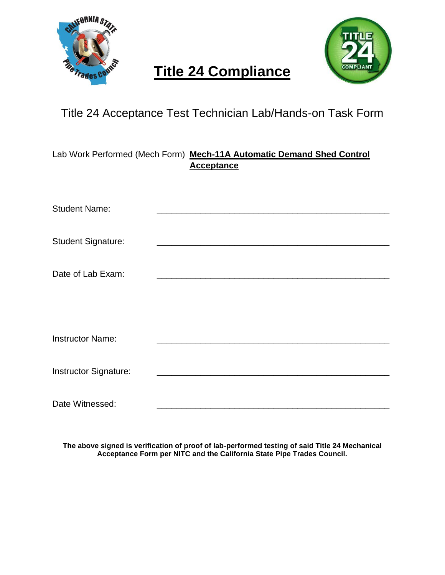



### Title 24 Acceptance Test Technician Lab/Hands-on Task Form

Lab Work Performed (Mech Form) **Mech-11A Automatic Demand Shed Control Acceptance**

| <b>Student Name:</b>      |  |
|---------------------------|--|
|                           |  |
| <b>Student Signature:</b> |  |
|                           |  |
| Date of Lab Exam:         |  |
|                           |  |
|                           |  |
|                           |  |
| <b>Instructor Name:</b>   |  |
|                           |  |
| Instructor Signature:     |  |
|                           |  |
| Date Witnessed:           |  |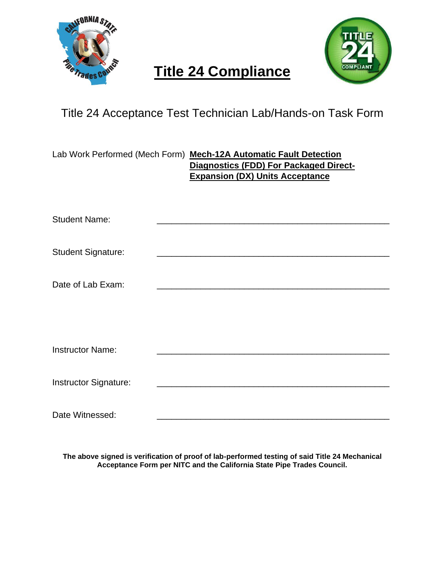

Date Witnessed:

## **Title 24 Compliance**



### Title 24 Acceptance Test Technician Lab/Hands-on Task Form

|                           | Lab Work Performed (Mech Form) Mech-12A Automatic Fault Detection<br><b>Diagnostics (FDD) For Packaged Direct-</b><br><b>Expansion (DX) Units Acceptance</b> |  |
|---------------------------|--------------------------------------------------------------------------------------------------------------------------------------------------------------|--|
| <b>Student Name:</b>      |                                                                                                                                                              |  |
| <b>Student Signature:</b> |                                                                                                                                                              |  |
| Date of Lab Exam:         |                                                                                                                                                              |  |
|                           |                                                                                                                                                              |  |
| <b>Instructor Name:</b>   |                                                                                                                                                              |  |
| Instructor Signature:     |                                                                                                                                                              |  |
|                           |                                                                                                                                                              |  |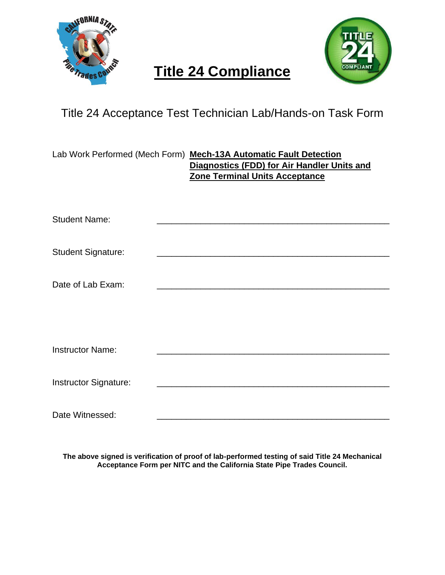



### Title 24 Acceptance Test Technician Lab/Hands-on Task Form

|                           | Lab Work Performed (Mech Form) Mech-13A Automatic Fault Detection<br>Diagnostics (FDD) for Air Handler Units and<br>Zone Terminal Units Acceptance |
|---------------------------|----------------------------------------------------------------------------------------------------------------------------------------------------|
| <b>Student Name:</b>      |                                                                                                                                                    |
| <b>Student Signature:</b> |                                                                                                                                                    |
| Date of Lab Exam:         |                                                                                                                                                    |
|                           |                                                                                                                                                    |
| <b>Instructor Name:</b>   |                                                                                                                                                    |
| Instructor Signature:     |                                                                                                                                                    |
| Date Witnessed:           |                                                                                                                                                    |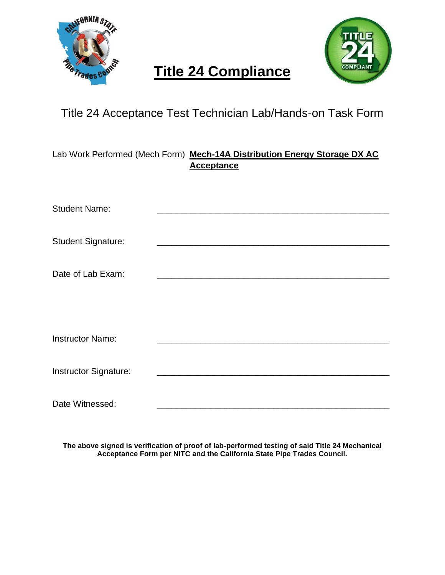



### Title 24 Acceptance Test Technician Lab/Hands-on Task Form

Lab Work Performed (Mech Form) **Mech-14A Distribution Energy Storage DX AC Acceptance**

| <b>Student Name:</b>      |  |
|---------------------------|--|
|                           |  |
| <b>Student Signature:</b> |  |
|                           |  |
| Date of Lab Exam:         |  |
|                           |  |
|                           |  |
|                           |  |
| <b>Instructor Name:</b>   |  |
|                           |  |
| Instructor Signature:     |  |
|                           |  |
| Date Witnessed:           |  |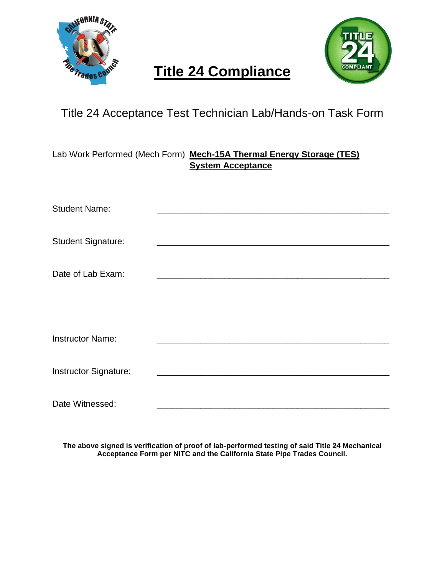



### Title 24 Acceptance Test Technician Lab/Hands-on Task Form

Lab Work Performed (Mech Form) **Mech-15A Thermal Energy Storage (TES) System Acceptance**

| <b>Student Name:</b>      |                                                                                                                                                                                                                                      |  |
|---------------------------|--------------------------------------------------------------------------------------------------------------------------------------------------------------------------------------------------------------------------------------|--|
|                           |                                                                                                                                                                                                                                      |  |
| <b>Student Signature:</b> |                                                                                                                                                                                                                                      |  |
|                           |                                                                                                                                                                                                                                      |  |
| Date of Lab Exam:         | <u>and the company of the company of the company of the company of the company of the company of the company of the company of the company of the company of the company of the company of the company of the company of the com</u> |  |
|                           |                                                                                                                                                                                                                                      |  |
|                           |                                                                                                                                                                                                                                      |  |
|                           |                                                                                                                                                                                                                                      |  |
| <b>Instructor Name:</b>   |                                                                                                                                                                                                                                      |  |
|                           |                                                                                                                                                                                                                                      |  |
| Instructor Signature:     |                                                                                                                                                                                                                                      |  |
|                           |                                                                                                                                                                                                                                      |  |
| Date Witnessed:           |                                                                                                                                                                                                                                      |  |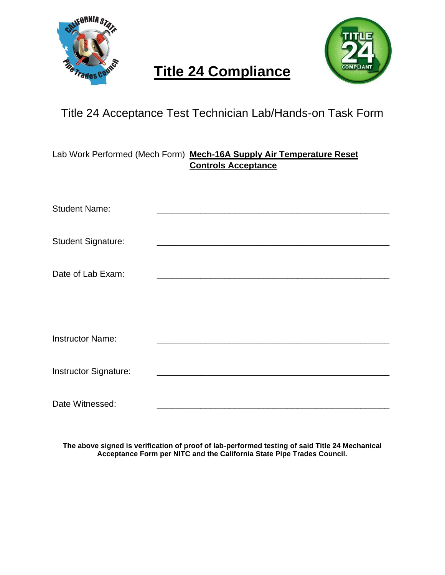



### Title 24 Acceptance Test Technician Lab/Hands-on Task Form

Lab Work Performed (Mech Form) **Mech-16A Supply Air Temperature Reset Controls Acceptance**

| <b>Student Name:</b>      |  |
|---------------------------|--|
|                           |  |
| <b>Student Signature:</b> |  |
|                           |  |
| Date of Lab Exam:         |  |
|                           |  |
|                           |  |
|                           |  |
| <b>Instructor Name:</b>   |  |
|                           |  |
| Instructor Signature:     |  |
|                           |  |
| Date Witnessed:           |  |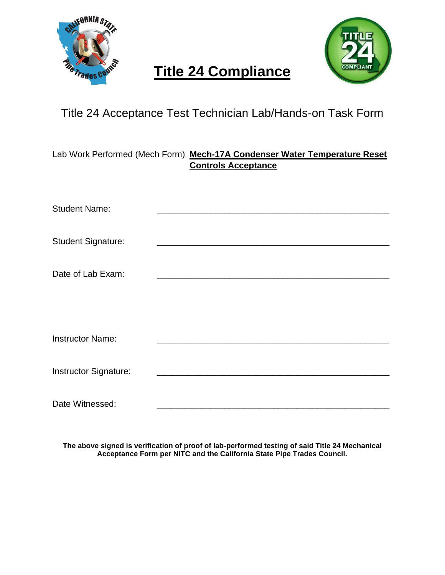



#### Title 24 Acceptance Test Technician Lab/Hands-on Task Form

Lab Work Performed (Mech Form) **Mech-17A Condenser Water Temperature Reset Controls Acceptance**

| <b>Student Name:</b>      |                                                                                                                                                                                                                                      |  |
|---------------------------|--------------------------------------------------------------------------------------------------------------------------------------------------------------------------------------------------------------------------------------|--|
|                           |                                                                                                                                                                                                                                      |  |
| <b>Student Signature:</b> |                                                                                                                                                                                                                                      |  |
|                           |                                                                                                                                                                                                                                      |  |
| Date of Lab Exam:         | <u>and the company of the company of the company of the company of the company of the company of the company of the company of the company of the company of the company of the company of the company of the company of the com</u> |  |
|                           |                                                                                                                                                                                                                                      |  |
|                           |                                                                                                                                                                                                                                      |  |
|                           |                                                                                                                                                                                                                                      |  |
| <b>Instructor Name:</b>   |                                                                                                                                                                                                                                      |  |
|                           |                                                                                                                                                                                                                                      |  |
| Instructor Signature:     |                                                                                                                                                                                                                                      |  |
|                           |                                                                                                                                                                                                                                      |  |
| Date Witnessed:           |                                                                                                                                                                                                                                      |  |